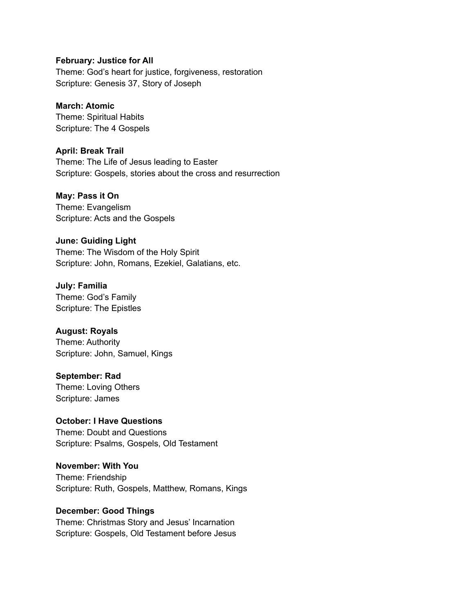#### **February: Justice for All**

Theme: God's heart for justice, forgiveness, restoration Scripture: Genesis 37, Story of Joseph

# **March: Atomic**

Theme: Spiritual Habits Scripture: The 4 Gospels

### **April: Break Trail**

Theme: The Life of Jesus leading to Easter Scripture: Gospels, stories about the cross and resurrection

### **May: Pass it On**

Theme: Evangelism Scripture: Acts and the Gospels

### **June: Guiding Light**

Theme: The Wisdom of the Holy Spirit Scripture: John, Romans, Ezekiel, Galatians, etc.

# **July: Familia**

Theme: God's Family Scripture: The Epistles

# **August: Royals**

Theme: Authority Scripture: John, Samuel, Kings

# **September: Rad**

Theme: Loving Others Scripture: James

# **October: I Have Questions**

Theme: Doubt and Questions Scripture: Psalms, Gospels, Old Testament

#### **November: With You**

Theme: Friendship Scripture: Ruth, Gospels, Matthew, Romans, Kings

# **December: Good Things**

Theme: Christmas Story and Jesus' Incarnation Scripture: Gospels, Old Testament before Jesus